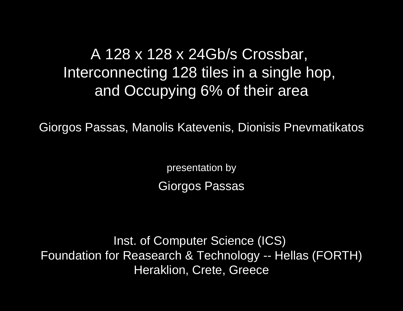# A 128 x 128 x 24Gb/s Crossbar, Interconnecting 128 tiles in a single hop, and Occupying 6% of their area

Giorgos Passas, Manolis Katevenis, Dionisis Pnevmatikatos

presentation by Giorgos Passas

Inst. of Computer Science (ICS) Foundation for Reasearch & Technology -- Hellas (FORTH) Heraklion, Crete, Greece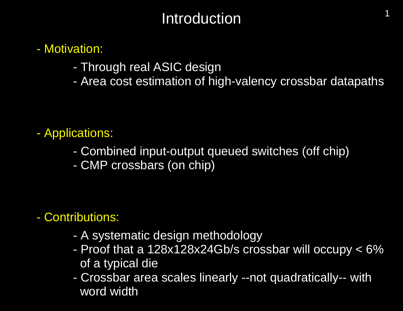# Introduction

#### - Motivation:

- Through real ASIC design
- Area cost estimation of high-valency crossbar datapaths

1

#### - Applications:

- Combined input-output queued switches (off chip)
- CMP crossbars (on chip)

#### - Contributions:

- A systematic design methodology
- Proof that a 128x128x24Gb/s crossbar will occupy < 6% of a typical die
- Crossbar area scales linearly --not quadratically-- with word width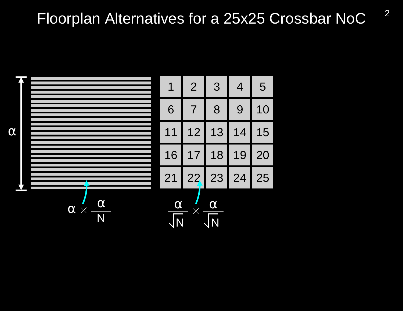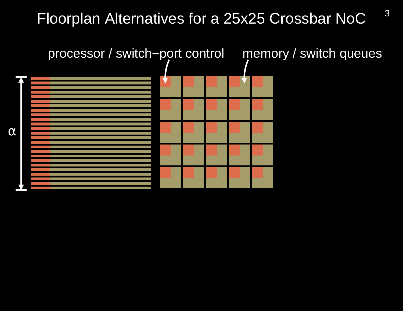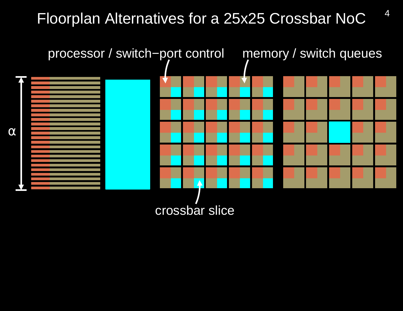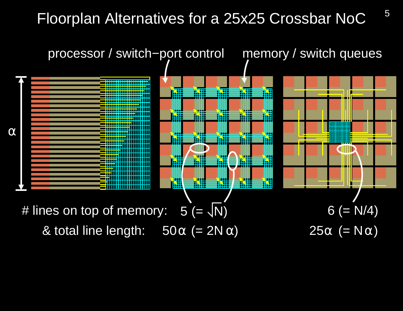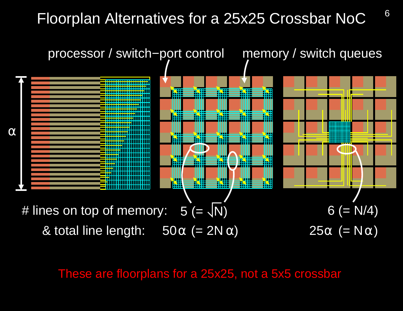

These are floorplans for a 25x25, not a 5x5 crossbar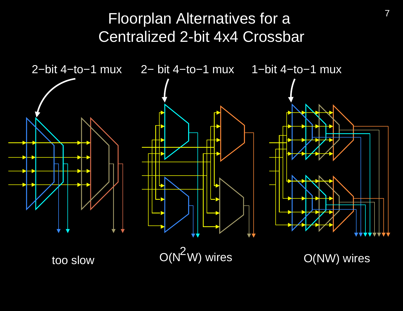## Floorplan Alternatives for a Centralized 2-bit 4x4 Crossbar

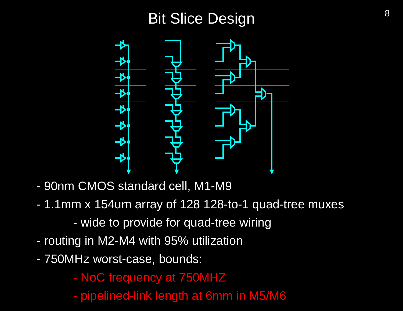# Bit Slice Design and the state of  $\frac{8}{3}$



- 90nm CMOS standard cell, M1-M9
- 1.1mm x 154um array of 128 128-to-1 quad-tree muxes - wide to provide for quad-tree wiring
- routing in M2-M4 with 95% utilization
- 750MHz worst-case, bounds:
	- NoC frequency at 750MHZ
	- pipelined-link length at 6mm in M5/M6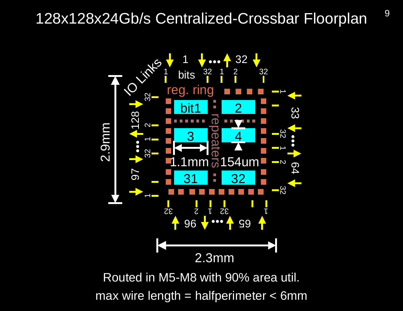#### 128x128x24Gb/s Centralized-Crossbar Floorplan

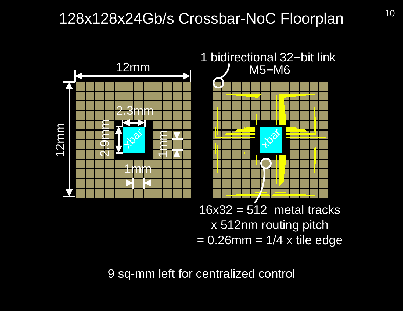# 128x128x24Gb/s Crossbar-NoC Floorplan 10



9 sq-mm left for centralized control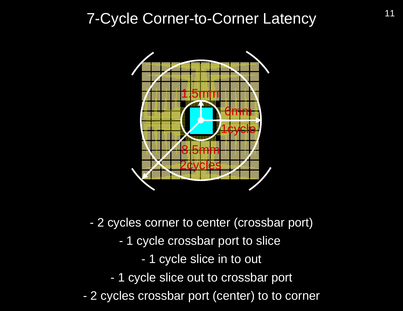# 7-Cycle Corner-to-Corner Latency 11



- 2 cycles corner to center (crossbar port)
	- 1 cycle crossbar port to slice
		- 1 cycle slice in to out
	- 1 cycle slice out to crossbar port
- 2 cycles crossbar port (center) to to corner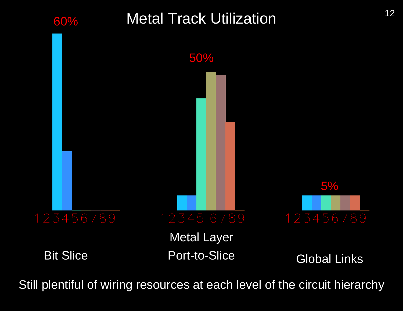

Still plentiful of wiring resources at each level of the circuit hierarchy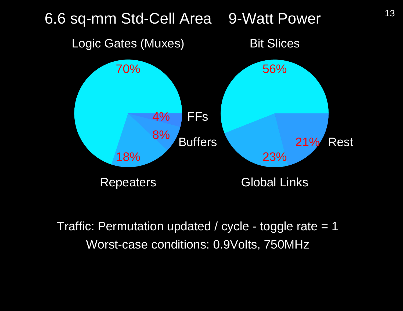

Traffic: Permutation updated / cycle - toggle rate = 1 Worst-case conditions: 0.9Volts, 750MHz